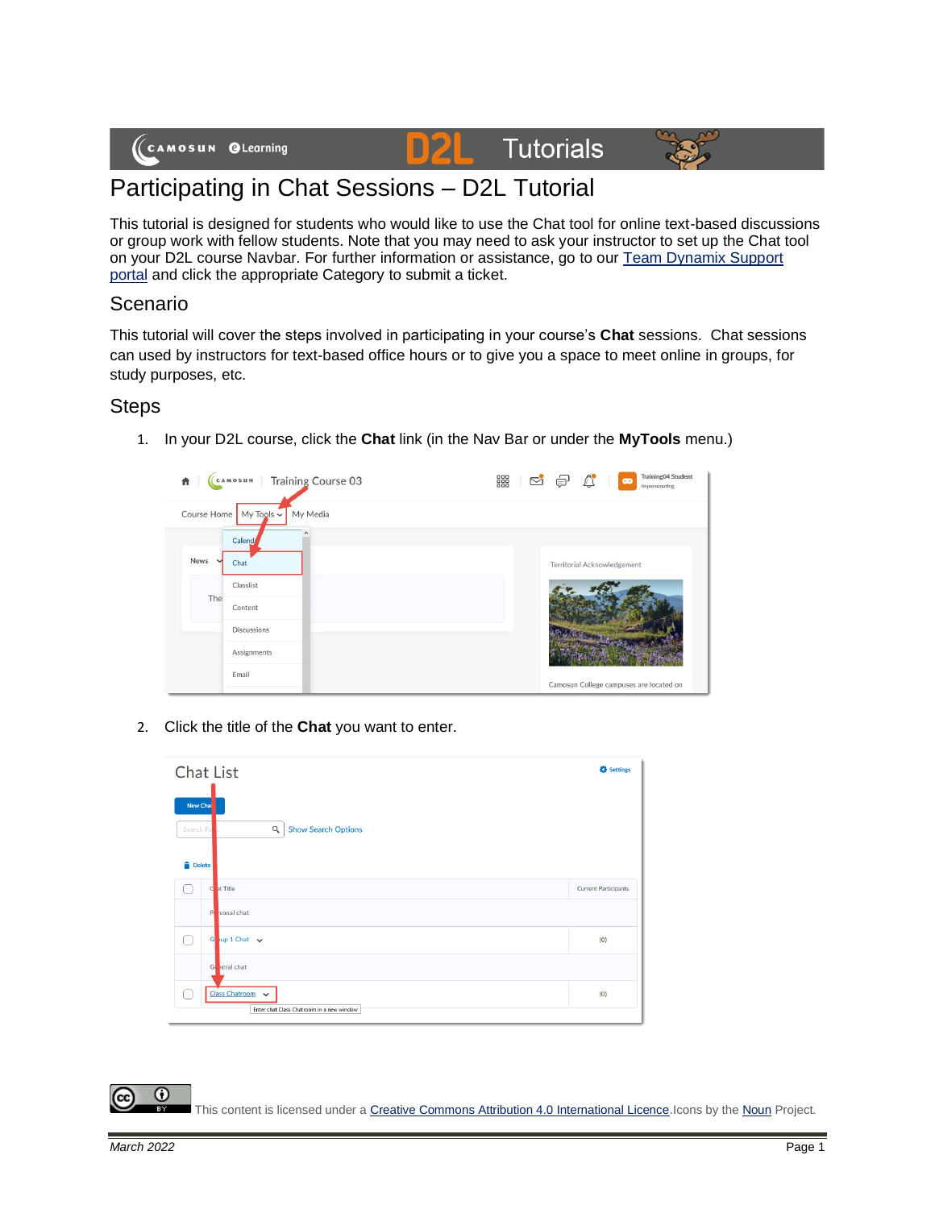

# **Tutorials**



## Participating in Chat Sessions – D2L Tutorial

This tutorial is designed for students who would like to use the Chat tool for online text-based discussions or group work with fellow students. Note that you may need to ask your instructor to set up the Chat tool on your D2L course Navbar. For further information or assistance, go to our [Team Dynamix Support](https://camosun.teamdynamix.com/TDClient/67/Portal/Requests/ServiceCatalog?CategoryID=524)  [portal](https://camosun.teamdynamix.com/TDClient/67/Portal/Requests/ServiceCatalog?CategoryID=524) and click the appropriate Category to submit a ticket.

D

#### Scenario

This tutorial will cover the steps involved in participating in your course's **Chat** sessions. Chat sessions can used by instructors for text-based office hours or to give you a space to meet online in groups, for study purposes, etc.

#### **Steps**

1. In your D2L course, click the **Chat** link (in the Nav Bar or under the **MyTools** menu.)



2. Click the title of the **Chat** you want to enter.

| <b>Chat List</b>                       |                                                                                    | <b>C</b> Settings           |
|----------------------------------------|------------------------------------------------------------------------------------|-----------------------------|
| New Chai<br>Search Fo<br><b>Delete</b> | Q<br><b>Show Search Options</b>                                                    |                             |
|                                        | C at Title                                                                         | <b>Current Participants</b> |
|                                        | Posonal chat                                                                       |                             |
| ∩                                      | Goup 1 Chat $\sqrt{}$                                                              | (0)                         |
|                                        | Goneral chat                                                                       |                             |
| 0                                      | <b>Class Chatroom</b><br>$\checkmark$<br>Enter chat Class Chatroom in a new window | (0)                         |

 $\odot$ This content is licensed under [a Creative Commons Attribution 4.0 International Licence.I](https://creativecommons.org/licenses/by/4.0/)cons by th[e Noun](https://creativecommons.org/website-icons/) Project.